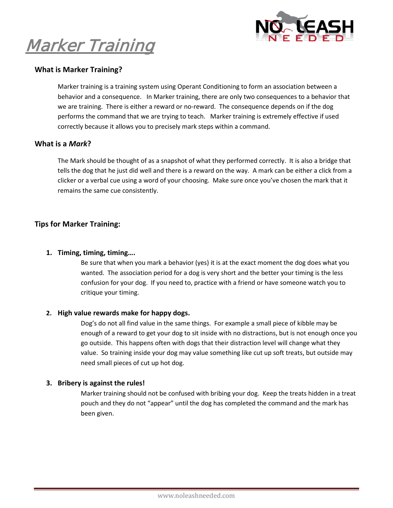

Marker Training

# **What is Marker Training?**

Marker training is a training system using Operant Conditioning to form an association between a behavior and a consequence. In Marker training, there are only two consequences to a behavior that we are training. There is either a reward or no-reward. The consequence depends on if the dog performs the command that we are trying to teach. Marker training is extremely effective if used correctly because it allows you to precisely mark steps within a command.

## **What is a** *Mark***?**

The Mark should be thought of as a snapshot of what they performed correctly. It is also a bridge that tells the dog that he just did well and there is a reward on the way. A mark can be either a click from a clicker or a verbal cue using a word of your choosing. Make sure once you've chosen the mark that it remains the same cue consistently.

# **Tips for Marker Training:**

### **1. Timing, timing, timing….**

Be sure that when you mark a behavior (yes) it is at the exact moment the dog does what you wanted. The association period for a dog is very short and the better your timing is the less confusion for your dog. If you need to, practice with a friend or have someone watch you to critique your timing.

#### **2. High value rewards make for happy dogs.**

Dog's do not all find value in the same things. For example a small piece of kibble may be enough of a reward to get your dog to sit inside with no distractions, but is not enough once you go outside. This happens often with dogs that their distraction level will change what they value. So training inside your dog may value something like cut up soft treats, but outside may need small pieces of cut up hot dog.

#### **3. Bribery is against the rules!**

Marker training should not be confused with bribing your dog. Keep the treats hidden in a treat pouch and they do not "appear" until the dog has completed the command and the mark has been given.